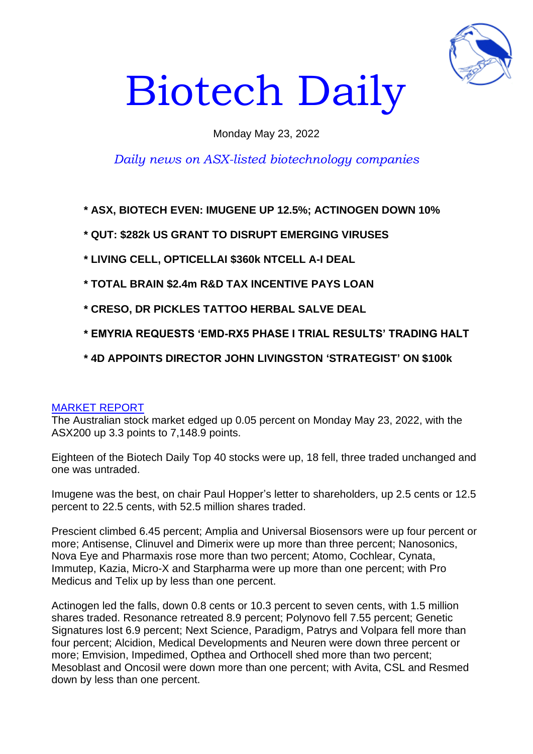

# Biotech Daily

## Monday May 23, 2022

## *Daily news on ASX-listed biotechnology companies*

**\* ASX, BIOTECH EVEN: IMUGENE UP 12.5%; ACTINOGEN DOWN 10%**

- **\* QUT: \$282k US GRANT TO DISRUPT EMERGING VIRUSES**
- **\* LIVING CELL, OPTICELLAI \$360k NTCELL A-I DEAL**
- **\* TOTAL BRAIN \$2.4m R&D TAX INCENTIVE PAYS LOAN**
- **\* CRESO, DR PICKLES TATTOO HERBAL SALVE DEAL**
- **\* EMYRIA REQUESTS 'EMD-RX5 PHASE I TRIAL RESULTS' TRADING HALT**
- **\* 4D APPOINTS DIRECTOR JOHN LIVINGSTON 'STRATEGIST' ON \$100k**

#### MARKET REPORT

The Australian stock market edged up 0.05 percent on Monday May 23, 2022, with the ASX200 up 3.3 points to 7,148.9 points.

Eighteen of the Biotech Daily Top 40 stocks were up, 18 fell, three traded unchanged and one was untraded.

Imugene was the best, on chair Paul Hopper's letter to shareholders, up 2.5 cents or 12.5 percent to 22.5 cents, with 52.5 million shares traded.

Prescient climbed 6.45 percent; Amplia and Universal Biosensors were up four percent or more; Antisense, Clinuvel and Dimerix were up more than three percent; Nanosonics, Nova Eye and Pharmaxis rose more than two percent; Atomo, Cochlear, Cynata, Immutep, Kazia, Micro-X and Starpharma were up more than one percent; with Pro Medicus and Telix up by less than one percent.

Actinogen led the falls, down 0.8 cents or 10.3 percent to seven cents, with 1.5 million shares traded. Resonance retreated 8.9 percent; Polynovo fell 7.55 percent; Genetic Signatures lost 6.9 percent; Next Science, Paradigm, Patrys and Volpara fell more than four percent; Alcidion, Medical Developments and Neuren were down three percent or more; Emvision, Impedimed, Opthea and Orthocell shed more than two percent; Mesoblast and Oncosil were down more than one percent; with Avita, CSL and Resmed down by less than one percent.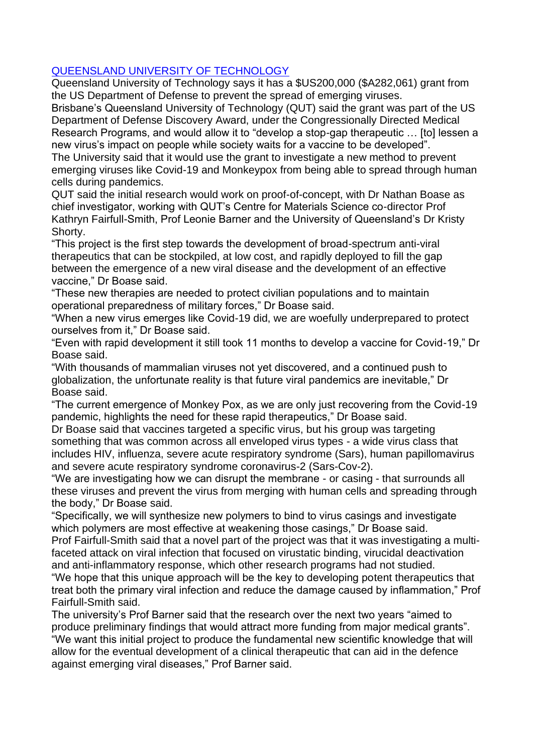## QUEENSLAND UNIVERSITY OF TECHNOLOGY

Queensland University of Technology says it has a \$US200,000 (\$A282,061) grant from the US Department of Defense to prevent the spread of emerging viruses.

Brisbane's Queensland University of Technology (QUT) said the grant was part of the US Department of Defense Discovery Award, under the Congressionally Directed Medical Research Programs, and would allow it to "develop a stop-gap therapeutic … [to] lessen a new virus's impact on people while society waits for a vaccine to be developed".

The University said that it would use the grant to investigate a new method to prevent emerging viruses like Covid-19 and Monkeypox from being able to spread through human cells during pandemics.

QUT said the initial research would work on proof-of-concept, with Dr Nathan Boase as chief investigator, working with QUT's Centre for Materials Science co-director Prof Kathryn Fairfull-Smith, Prof Leonie Barner and the University of Queensland's Dr Kristy Shorty.

"This project is the first step towards the development of broad-spectrum anti-viral therapeutics that can be stockpiled, at low cost, and rapidly deployed to fill the gap between the emergence of a new viral disease and the development of an effective vaccine," Dr Boase said.

"These new therapies are needed to protect civilian populations and to maintain operational preparedness of military forces," Dr Boase said.

"When a new virus emerges like Covid-19 did, we are woefully underprepared to protect ourselves from it," Dr Boase said.

"Even with rapid development it still took 11 months to develop a vaccine for Covid-19," Dr Boase said.

"With thousands of mammalian viruses not yet discovered, and a continued push to globalization, the unfortunate reality is that future viral pandemics are inevitable," Dr Boase said.

"The current emergence of Monkey Pox, as we are only just recovering from the Covid-19 pandemic, highlights the need for these rapid therapeutics," Dr Boase said.

Dr Boase said that vaccines targeted a specific virus, but his group was targeting something that was common across all enveloped virus types - a wide virus class that includes HIV, influenza, severe acute respiratory syndrome (Sars), human papillomavirus and severe acute respiratory syndrome coronavirus-2 (Sars-Cov-2).

"We are investigating how we can disrupt the membrane - or casing - that surrounds all these viruses and prevent the virus from merging with human cells and spreading through the body," Dr Boase said.

"Specifically, we will synthesize new polymers to bind to virus casings and investigate which polymers are most effective at weakening those casings," Dr Boase said.

Prof Fairfull-Smith said that a novel part of the project was that it was investigating a multifaceted attack on viral infection that focused on virustatic binding, virucidal deactivation and anti-inflammatory response, which other research programs had not studied.

"We hope that this unique approach will be the key to developing potent therapeutics that treat both the primary viral infection and reduce the damage caused by inflammation," Prof Fairfull-Smith said.

The university's Prof Barner said that the research over the next two years "aimed to produce preliminary findings that would attract more funding from major medical grants". "We want this initial project to produce the fundamental new scientific knowledge that will allow for the eventual development of a clinical therapeutic that can aid in the defence against emerging viral diseases," Prof Barner said.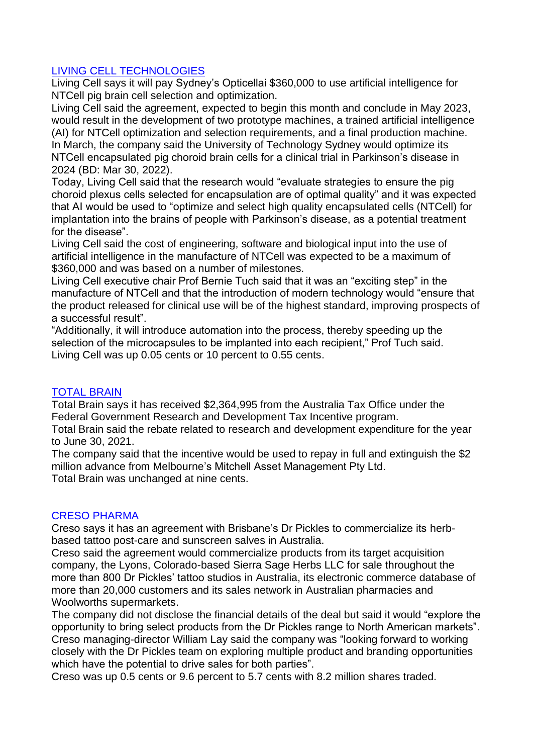## LIVING CELL TECHNOLOGIES

Living Cell says it will pay Sydney's Opticellai \$360,000 to use artificial intelligence for NTCell pig brain cell selection and optimization.

Living Cell said the agreement, expected to begin this month and conclude in May 2023, would result in the development of two prototype machines, a trained artificial intelligence (AI) for NTCell optimization and selection requirements, and a final production machine. In March, the company said the University of Technology Sydney would optimize its NTCell encapsulated pig choroid brain cells for a clinical trial in Parkinson's disease in 2024 (BD: Mar 30, 2022).

Today, Living Cell said that the research would "evaluate strategies to ensure the pig choroid plexus cells selected for encapsulation are of optimal quality" and it was expected that AI would be used to "optimize and select high quality encapsulated cells (NTCell) for implantation into the brains of people with Parkinson's disease, as a potential treatment for the disease".

Living Cell said the cost of engineering, software and biological input into the use of artificial intelligence in the manufacture of NTCell was expected to be a maximum of \$360,000 and was based on a number of milestones.

Living Cell executive chair Prof Bernie Tuch said that it was an "exciting step" in the manufacture of NTCell and that the introduction of modern technology would "ensure that the product released for clinical use will be of the highest standard, improving prospects of a successful result".

"Additionally, it will introduce automation into the process, thereby speeding up the selection of the microcapsules to be implanted into each recipient," Prof Tuch said. Living Cell was up 0.05 cents or 10 percent to 0.55 cents.

#### TOTAL BRAIN

Total Brain says it has received \$2,364,995 from the Australia Tax Office under the Federal Government Research and Development Tax Incentive program.

Total Brain said the rebate related to research and development expenditure for the year to June 30, 2021.

The company said that the incentive would be used to repay in full and extinguish the \$2 million advance from Melbourne's Mitchell Asset Management Pty Ltd. Total Brain was unchanged at nine cents.

#### CRESO PHARMA

Creso says it has an agreement with Brisbane's Dr Pickles to commercialize its herbbased tattoo post-care and sunscreen salves in Australia.

Creso said the agreement would commercialize products from its target acquisition company, the Lyons, Colorado-based Sierra Sage Herbs LLC for sale throughout the more than 800 Dr Pickles' tattoo studios in Australia, its electronic commerce database of more than 20,000 customers and its sales network in Australian pharmacies and Woolworths supermarkets.

The company did not disclose the financial details of the deal but said it would "explore the opportunity to bring select products from the Dr Pickles range to North American markets". Creso managing-director William Lay said the company was "looking forward to working closely with the Dr Pickles team on exploring multiple product and branding opportunities which have the potential to drive sales for both parties".

Creso was up 0.5 cents or 9.6 percent to 5.7 cents with 8.2 million shares traded.